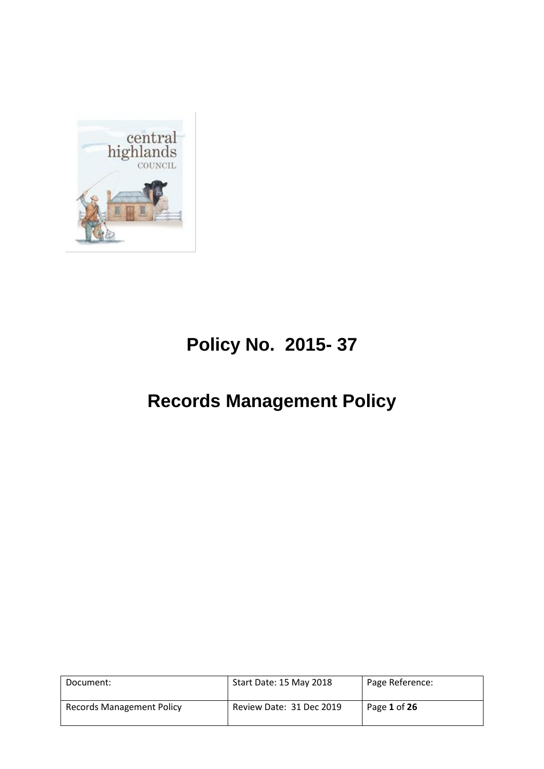

# **Policy No. 2015- 37**

# **Records Management Policy**

| Document:                        | Start Date: 15 May 2018  | Page Reference: |
|----------------------------------|--------------------------|-----------------|
| <b>Records Management Policy</b> | Review Date: 31 Dec 2019 | Page 1 of 26    |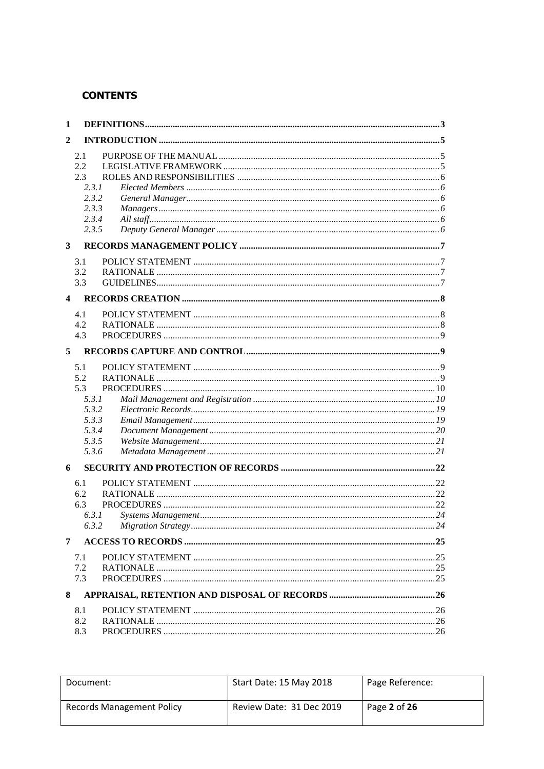# **CONTENTS**

| 1                       |       |  |
|-------------------------|-------|--|
| 2                       |       |  |
|                         | 2.1   |  |
|                         | 2.2   |  |
|                         | 2.3   |  |
|                         | 2.3.1 |  |
|                         | 2.3.2 |  |
|                         | 2.3.3 |  |
|                         | 2.3.4 |  |
|                         | 2.3.5 |  |
| 3                       |       |  |
|                         | 3.1   |  |
|                         | 3.2   |  |
|                         | 3.3   |  |
|                         |       |  |
| $\overline{\mathbf{4}}$ |       |  |
|                         | 4.1   |  |
|                         | 4.2   |  |
|                         | 4.3   |  |
| 5                       |       |  |
|                         | 5.1   |  |
|                         | 5.2   |  |
|                         | 5.3   |  |
|                         | 5.3.1 |  |
|                         | 5.3.2 |  |
|                         | 5.3.3 |  |
|                         | 5.3.4 |  |
|                         | 5.3.5 |  |
|                         | 5.3.6 |  |
| 6                       |       |  |
|                         | 6.1   |  |
|                         | 6.2   |  |
|                         | 6.3   |  |
|                         | 6.3.1 |  |
|                         |       |  |
| 7                       |       |  |
|                         | 7.1   |  |
|                         | 7.2   |  |
|                         | 7.3   |  |
|                         |       |  |
| 8                       |       |  |
|                         | 8.1   |  |
|                         | 8.2   |  |
|                         | 8.3   |  |

| Document:                        | Start Date: 15 May 2018  | Page Reference: |
|----------------------------------|--------------------------|-----------------|
| <b>Records Management Policy</b> | Review Date: 31 Dec 2019 | Page 2 of 26    |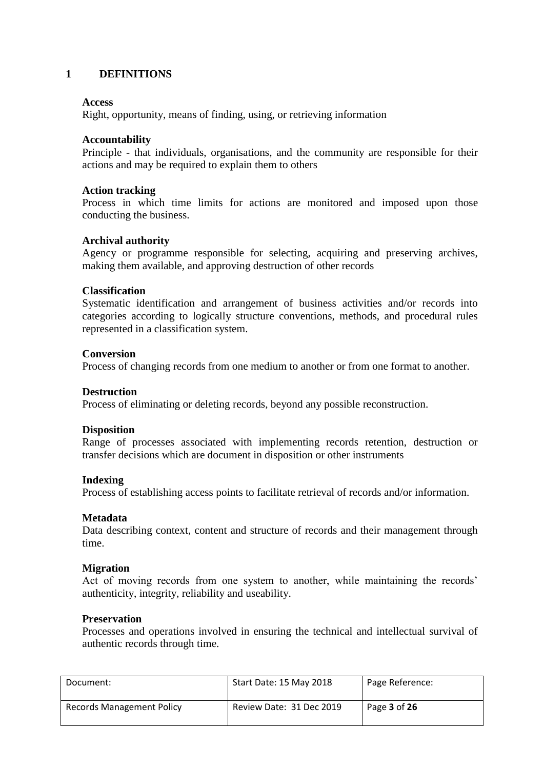#### <span id="page-2-0"></span>**1 DEFINITIONS**

#### **Access**

Right, opportunity, means of finding, using, or retrieving information

#### **Accountability**

Principle - that individuals, organisations, and the community are responsible for their actions and may be required to explain them to others

#### **Action tracking**

Process in which time limits for actions are monitored and imposed upon those conducting the business.

#### **Archival authority**

Agency or programme responsible for selecting, acquiring and preserving archives, making them available, and approving destruction of other records

#### **Classification**

Systematic identification and arrangement of business activities and/or records into categories according to logically structure conventions, methods, and procedural rules represented in a classification system.

#### **Conversion**

Process of changing records from one medium to another or from one format to another.

#### **Destruction**

Process of eliminating or deleting records, beyond any possible reconstruction.

#### **Disposition**

Range of processes associated with implementing records retention, destruction or transfer decisions which are document in disposition or other instruments

#### **Indexing**

Process of establishing access points to facilitate retrieval of records and/or information.

#### **Metadata**

Data describing context, content and structure of records and their management through time.

#### **Migration**

Act of moving records from one system to another, while maintaining the records' authenticity, integrity, reliability and useability.

#### **Preservation**

Processes and operations involved in ensuring the technical and intellectual survival of authentic records through time.

| Document:                        | Start Date: 15 May 2018  | Page Reference:     |
|----------------------------------|--------------------------|---------------------|
| <b>Records Management Policy</b> | Review Date: 31 Dec 2019 | Page <b>3</b> of 26 |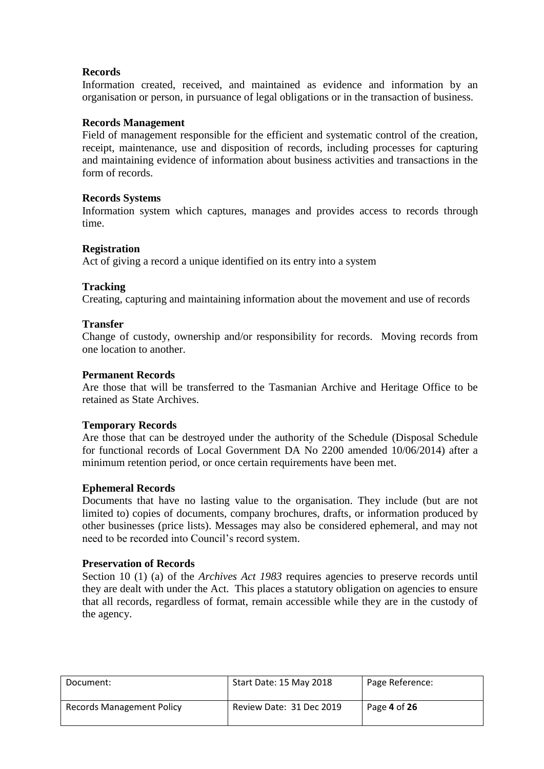#### **Records**

Information created, received, and maintained as evidence and information by an organisation or person, in pursuance of legal obligations or in the transaction of business.

#### **Records Management**

Field of management responsible for the efficient and systematic control of the creation, receipt, maintenance, use and disposition of records, including processes for capturing and maintaining evidence of information about business activities and transactions in the form of records.

#### **Records Systems**

Information system which captures, manages and provides access to records through time.

#### **Registration**

Act of giving a record a unique identified on its entry into a system

#### **Tracking**

Creating, capturing and maintaining information about the movement and use of records

#### **Transfer**

Change of custody, ownership and/or responsibility for records. Moving records from one location to another.

#### **Permanent Records**

Are those that will be transferred to the Tasmanian Archive and Heritage Office to be retained as State Archives.

#### **Temporary Records**

Are those that can be destroyed under the authority of the Schedule (Disposal Schedule for functional records of Local Government DA No 2200 amended 10/06/2014) after a minimum retention period, or once certain requirements have been met.

#### **Ephemeral Records**

Documents that have no lasting value to the organisation. They include (but are not limited to) copies of documents, company brochures, drafts, or information produced by other businesses (price lists). Messages may also be considered ephemeral, and may not need to be recorded into Council's record system.

#### **Preservation of Records**

Section 10 (1) (a) of the *Archives Act 1983* requires agencies to preserve records until they are dealt with under the Act. This places a statutory obligation on agencies to ensure that all records, regardless of format, remain accessible while they are in the custody of the agency.

| Document:                        | Start Date: 15 May 2018  | Page Reference: |
|----------------------------------|--------------------------|-----------------|
| <b>Records Management Policy</b> | Review Date: 31 Dec 2019 | Page 4 of 26    |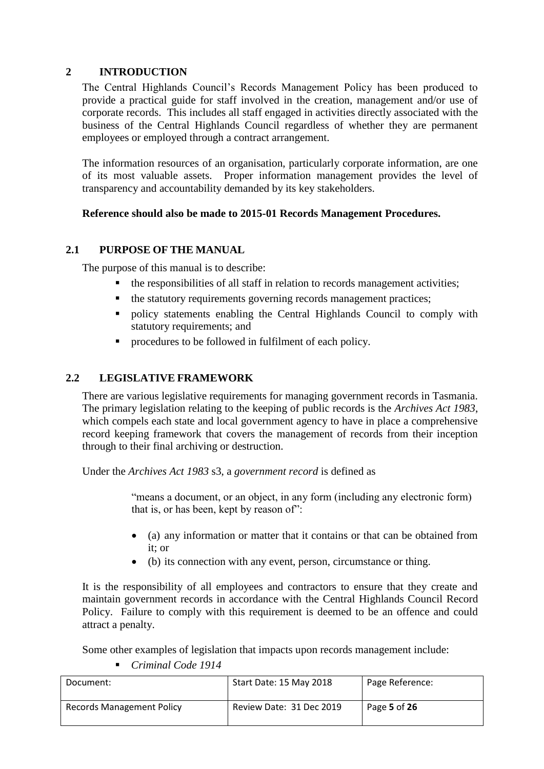# <span id="page-4-0"></span>**2 INTRODUCTION**

The Central Highlands Council's Records Management Policy has been produced to provide a practical guide for staff involved in the creation, management and/or use of corporate records. This includes all staff engaged in activities directly associated with the business of the Central Highlands Council regardless of whether they are permanent employees or employed through a contract arrangement.

The information resources of an organisation, particularly corporate information, are one of its most valuable assets. Proper information management provides the level of transparency and accountability demanded by its key stakeholders.

# **Reference should also be made to 2015-01 Records Management Procedures.**

# <span id="page-4-1"></span>**2.1 PURPOSE OF THE MANUAL**

The purpose of this manual is to describe:

- the responsibilities of all staff in relation to records management activities;
- the statutory requirements governing records management practices;
- policy statements enabling the Central Highlands Council to comply with statutory requirements; and
- **•** procedures to be followed in fulfilment of each policy.

# <span id="page-4-2"></span>**2.2 LEGISLATIVE FRAMEWORK**

There are various legislative requirements for managing government records in Tasmania. The primary legislation relating to the keeping of public records is the *Archives Act 1983*, which compels each state and local government agency to have in place a comprehensive record keeping framework that covers the management of records from their inception through to their final archiving or destruction.

Under the *Archives Act 1983* s3, a *government record* is defined as

"means a document, or an object, in any form (including any electronic form) that is, or has been, kept by reason of":

- (a) any information or matter that it contains or that can be obtained from it; or
- (b) its connection with any event, person, circumstance or thing.

It is the responsibility of all employees and contractors to ensure that they create and maintain government records in accordance with the Central Highlands Council Record Policy. Failure to comply with this requirement is deemed to be an offence and could attract a penalty.

Some other examples of legislation that impacts upon records management include:

*Criminal Code 1914*

| Document:                 | Start Date: 15 May 2018  | Page Reference: |
|---------------------------|--------------------------|-----------------|
| Records Management Policy | Review Date: 31 Dec 2019 | Page 5 of 26    |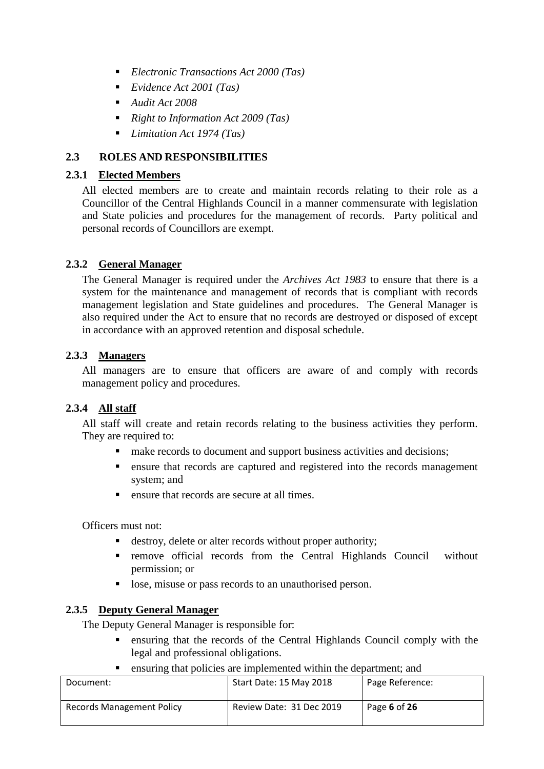- *Electronic Transactions Act 2000 (Tas)*
- *Evidence Act 2001 (Tas)*
- *Audit Act 2008*
- *Right to Information Act 2009 (Tas)*
- *Limitation Act 1974 (Tas)*

# <span id="page-5-0"></span>**2.3 ROLES AND RESPONSIBILITIES**

# <span id="page-5-1"></span>**2.3.1 Elected Members**

All elected members are to create and maintain records relating to their role as a Councillor of the Central Highlands Council in a manner commensurate with legislation and State policies and procedures for the management of records. Party political and personal records of Councillors are exempt.

# <span id="page-5-2"></span>**2.3.2 General Manager**

The General Manager is required under the *Archives Act 1983* to ensure that there is a system for the maintenance and management of records that is compliant with records management legislation and State guidelines and procedures. The General Manager is also required under the Act to ensure that no records are destroyed or disposed of except in accordance with an approved retention and disposal schedule.

# <span id="page-5-3"></span>**2.3.3 Managers**

All managers are to ensure that officers are aware of and comply with records management policy and procedures.

# <span id="page-5-4"></span>**2.3.4 All staff**

All staff will create and retain records relating to the business activities they perform. They are required to:

- make records to document and support business activities and decisions;
- ensure that records are captured and registered into the records management system; and
- **Exercise 1** ensure that records are secure at all times.

Officers must not:

- destroy, delete or alter records without proper authority;
- **remove official records from the Central Highlands Council without** permission; or
- lose, misuse or pass records to an unauthorised person.

# <span id="page-5-5"></span>**2.3.5 Deputy General Manager**

The Deputy General Manager is responsible for:

- ensuring that the records of the Central Highlands Council comply with the legal and professional obligations.
- ensuring that policies are implemented within the department; and

| Document:                        | Start Date: 15 May 2018  | Page Reference: |
|----------------------------------|--------------------------|-----------------|
| <b>Records Management Policy</b> | Review Date: 31 Dec 2019 | Page 6 of 26    |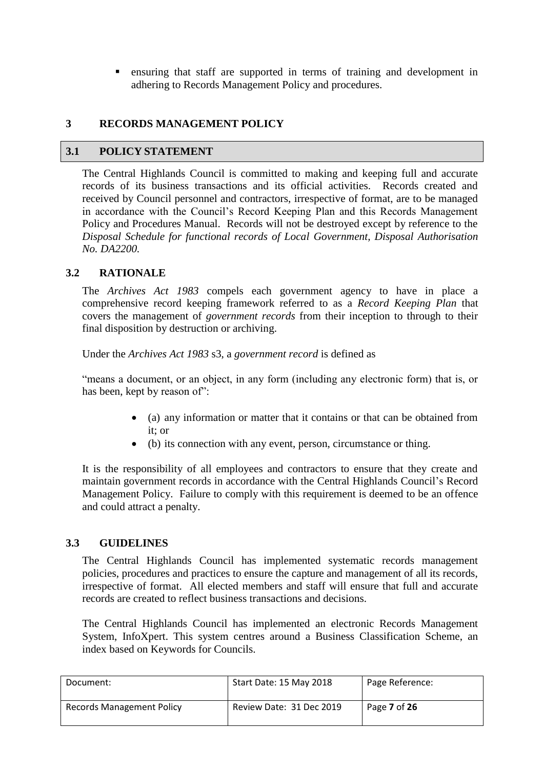ensuring that staff are supported in terms of training and development in adhering to Records Management Policy and procedures.

# <span id="page-6-0"></span>**3 RECORDS MANAGEMENT POLICY**

#### <span id="page-6-1"></span>**3.1 POLICY STATEMENT**

The Central Highlands Council is committed to making and keeping full and accurate records of its business transactions and its official activities. Records created and received by Council personnel and contractors, irrespective of format, are to be managed in accordance with the Council's Record Keeping Plan and this Records Management Policy and Procedures Manual. Records will not be destroyed except by reference to the *Disposal Schedule for functional records of Local Government, Disposal Authorisation No. DA2200.*

# <span id="page-6-2"></span>**3.2 RATIONALE**

The *Archives Act 1983* compels each government agency to have in place a comprehensive record keeping framework referred to as a *Record Keeping Plan* that covers the management of *government records* from their inception to through to their final disposition by destruction or archiving.

Under the *Archives Act 1983* s3, a *government record* is defined as

"means a document, or an object, in any form (including any electronic form) that is, or has been, kept by reason of":

- (a) any information or matter that it contains or that can be obtained from it; or
- (b) its connection with any event, person, circumstance or thing.

It is the responsibility of all employees and contractors to ensure that they create and maintain government records in accordance with the Central Highlands Council's Record Management Policy. Failure to comply with this requirement is deemed to be an offence and could attract a penalty.

# <span id="page-6-3"></span>**3.3 GUIDELINES**

The Central Highlands Council has implemented systematic records management policies, procedures and practices to ensure the capture and management of all its records, irrespective of format. All elected members and staff will ensure that full and accurate records are created to reflect business transactions and decisions.

The Central Highlands Council has implemented an electronic Records Management System, InfoXpert. This system centres around a Business Classification Scheme, an index based on Keywords for Councils.

| Document:                        | Start Date: 15 May 2018  | Page Reference: |
|----------------------------------|--------------------------|-----------------|
| <b>Records Management Policy</b> | Review Date: 31 Dec 2019 | Page 7 of 26    |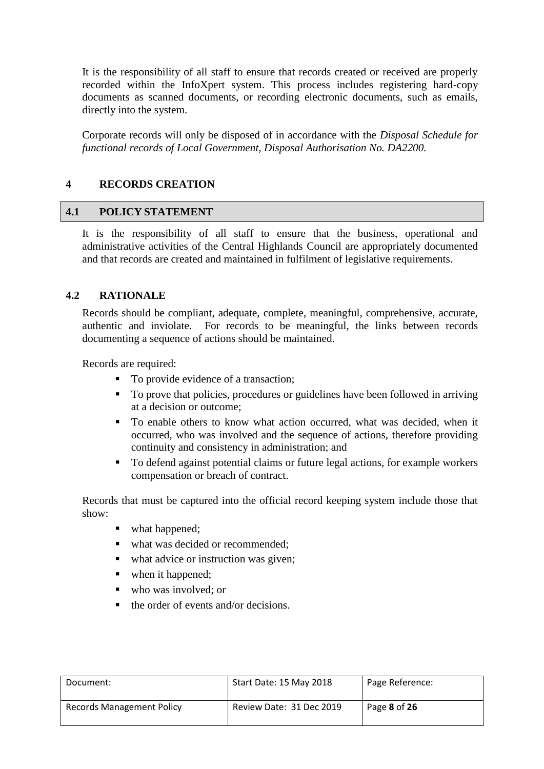It is the responsibility of all staff to ensure that records created or received are properly recorded within the InfoXpert system. This process includes registering hard-copy documents as scanned documents, or recording electronic documents, such as emails, directly into the system.

Corporate records will only be disposed of in accordance with the *Disposal Schedule for functional records of Local Government, Disposal Authorisation No. DA2200.*

#### <span id="page-7-0"></span>**4 RECORDS CREATION**

#### <span id="page-7-1"></span>**4.1 POLICY STATEMENT**

It is the responsibility of all staff to ensure that the business, operational and administrative activities of the Central Highlands Council are appropriately documented and that records are created and maintained in fulfilment of legislative requirements.

#### <span id="page-7-2"></span>**4.2 RATIONALE**

Records should be compliant, adequate, complete, meaningful, comprehensive, accurate, authentic and inviolate. For records to be meaningful, the links between records documenting a sequence of actions should be maintained.

Records are required:

- To provide evidence of a transaction;
- To prove that policies, procedures or guidelines have been followed in arriving at a decision or outcome;
- To enable others to know what action occurred, what was decided, when it occurred, who was involved and the sequence of actions, therefore providing continuity and consistency in administration; and
- To defend against potential claims or future legal actions, for example workers compensation or breach of contract.

Records that must be captured into the official record keeping system include those that show:

- what happened;
- what was decided or recommended;
- what advice or instruction was given;
- when it happened:
- who was involved; or
- $\blacksquare$  the order of events and/or decisions.

| Document:                 | Start Date: 15 May 2018  | Page Reference:     |
|---------------------------|--------------------------|---------------------|
| Records Management Policy | Review Date: 31 Dec 2019 | Page <b>8</b> of 26 |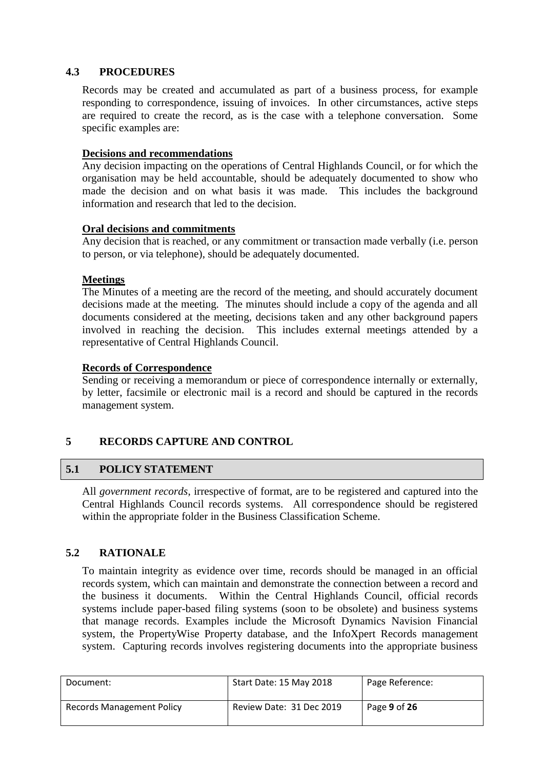# <span id="page-8-0"></span>**4.3 PROCEDURES**

Records may be created and accumulated as part of a business process, for example responding to correspondence, issuing of invoices. In other circumstances, active steps are required to create the record, as is the case with a telephone conversation. Some specific examples are:

#### **Decisions and recommendations**

Any decision impacting on the operations of Central Highlands Council, or for which the organisation may be held accountable, should be adequately documented to show who made the decision and on what basis it was made. This includes the background information and research that led to the decision.

#### **Oral decisions and commitments**

Any decision that is reached, or any commitment or transaction made verbally (i.e. person to person, or via telephone), should be adequately documented.

#### **Meetings**

The Minutes of a meeting are the record of the meeting, and should accurately document decisions made at the meeting. The minutes should include a copy of the agenda and all documents considered at the meeting, decisions taken and any other background papers involved in reaching the decision. This includes external meetings attended by a representative of Central Highlands Council.

#### **Records of Correspondence**

Sending or receiving a memorandum or piece of correspondence internally or externally, by letter, facsimile or electronic mail is a record and should be captured in the records management system.

# <span id="page-8-1"></span>**5 RECORDS CAPTURE AND CONTROL**

# <span id="page-8-2"></span>**5.1 POLICY STATEMENT**

All *government records*, irrespective of format, are to be registered and captured into the Central Highlands Council records systems. All correspondence should be registered within the appropriate folder in the Business Classification Scheme.

# <span id="page-8-3"></span>**5.2 RATIONALE**

To maintain integrity as evidence over time, records should be managed in an official records system, which can maintain and demonstrate the connection between a record and the business it documents. Within the Central Highlands Council, official records systems include paper-based filing systems (soon to be obsolete) and business systems that manage records. Examples include the Microsoft Dynamics Navision Financial system, the PropertyWise Property database, and the InfoXpert Records management system. Capturing records involves registering documents into the appropriate business

| Document:                        | Start Date: 15 May 2018  | Page Reference: |
|----------------------------------|--------------------------|-----------------|
| <b>Records Management Policy</b> | Review Date: 31 Dec 2019 | Page 9 of 26    |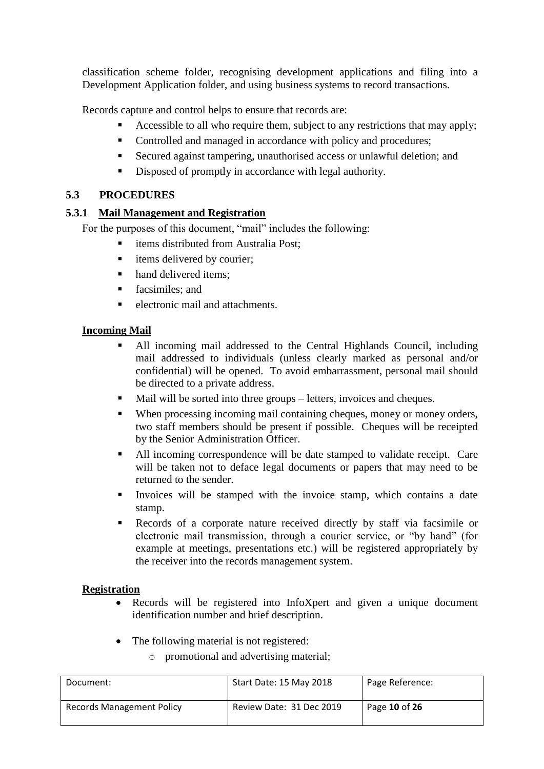classification scheme folder, recognising development applications and filing into a Development Application folder, and using business systems to record transactions.

Records capture and control helps to ensure that records are:

- Accessible to all who require them, subject to any restrictions that may apply;
- Controlled and managed in accordance with policy and procedures;
- Secured against tampering, unauthorised access or unlawful deletion; and
- Disposed of promptly in accordance with legal authority.

# <span id="page-9-0"></span>**5.3 PROCEDURES**

# <span id="page-9-1"></span>**5.3.1 Mail Management and Registration**

For the purposes of this document, "mail" includes the following:

- items distributed from Australia Post;
- $\blacksquare$  items delivered by courier:
- hand delivered items;
- **facsimiles**: and
- electronic mail and attachments.

# **Incoming Mail**

- All incoming mail addressed to the Central Highlands Council, including mail addressed to individuals (unless clearly marked as personal and/or confidential) will be opened. To avoid embarrassment, personal mail should be directed to a private address.
- Mail will be sorted into three groups letters, invoices and cheques.
- When processing incoming mail containing cheques, money or money orders, two staff members should be present if possible. Cheques will be receipted by the Senior Administration Officer.
- All incoming correspondence will be date stamped to validate receipt. Care will be taken not to deface legal documents or papers that may need to be returned to the sender.
- Invoices will be stamped with the invoice stamp, which contains a date stamp.
- Records of a corporate nature received directly by staff via facsimile or electronic mail transmission, through a courier service, or "by hand" (for example at meetings, presentations etc.) will be registered appropriately by the receiver into the records management system.

# **Registration**

- Records will be registered into InfoXpert and given a unique document identification number and brief description.
- The following material is not registered:
	- o promotional and advertising material;

| Document:                        | Start Date: 15 May 2018  | Page Reference: |
|----------------------------------|--------------------------|-----------------|
| <b>Records Management Policy</b> | Review Date: 31 Dec 2019 | Page 10 of 26   |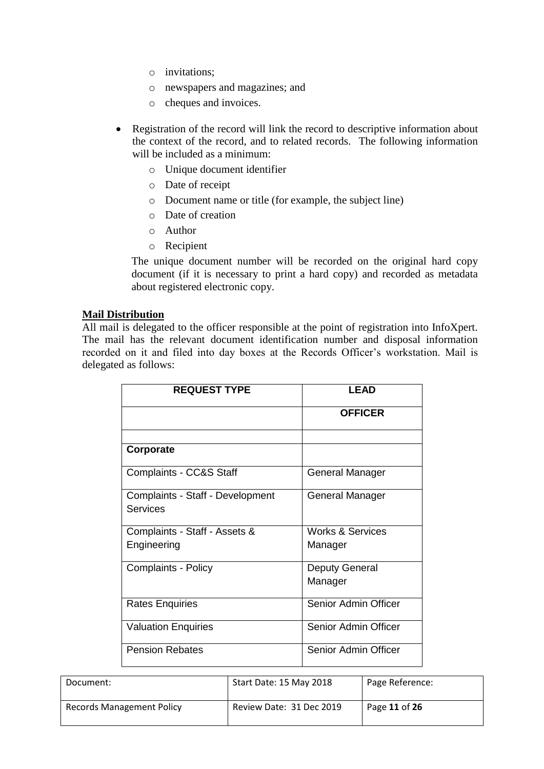- o invitations;
- o newspapers and magazines; and
- o cheques and invoices.
- Registration of the record will link the record to descriptive information about the context of the record, and to related records. The following information will be included as a minimum:
	- o Unique document identifier
	- o Date of receipt
	- o Document name or title (for example, the subject line)
	- o Date of creation
	- o Author
	- o Recipient

The unique document number will be recorded on the original hard copy document (if it is necessary to print a hard copy) and recorded as metadata about registered electronic copy.

#### **Mail Distribution**

All mail is delegated to the officer responsible at the point of registration into InfoXpert. The mail has the relevant document identification number and disposal information recorded on it and filed into day boxes at the Records Officer's workstation. Mail is delegated as follows:

| <b>REQUEST TYPE</b>              | <b>LEAD</b>                 |
|----------------------------------|-----------------------------|
|                                  | <b>OFFICER</b>              |
|                                  |                             |
| Corporate                        |                             |
| Complaints - CC&S Staff          | General Manager             |
| Complaints - Staff - Development | General Manager             |
| Services                         |                             |
| Complaints - Staff - Assets &    | <b>Works &amp; Services</b> |
| Engineering                      | Manager                     |
| Complaints - Policy              | <b>Deputy General</b>       |
|                                  | Manager                     |
| <b>Rates Enquiries</b>           | Senior Admin Officer        |
| <b>Valuation Enquiries</b>       | Senior Admin Officer        |
| <b>Pension Rebates</b>           | Senior Admin Officer        |

| Document:                        | Start Date: 15 May 2018  | Page Reference: |
|----------------------------------|--------------------------|-----------------|
| <b>Records Management Policy</b> | Review Date: 31 Dec 2019 | Page 11 of 26   |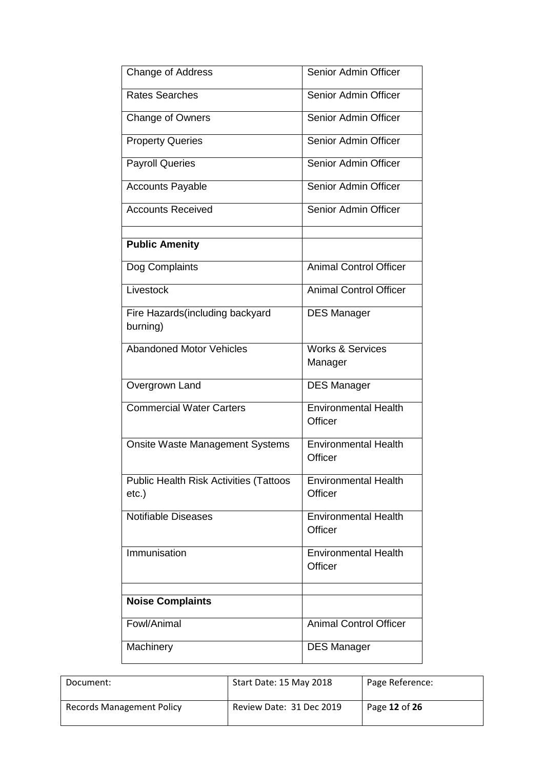| <b>Change of Address</b>                                  | Senior Admin Officer                   |
|-----------------------------------------------------------|----------------------------------------|
| <b>Rates Searches</b>                                     | Senior Admin Officer                   |
| <b>Change of Owners</b>                                   | Senior Admin Officer                   |
| <b>Property Queries</b>                                   | Senior Admin Officer                   |
| <b>Payroll Queries</b>                                    | Senior Admin Officer                   |
| <b>Accounts Payable</b>                                   | Senior Admin Officer                   |
| <b>Accounts Received</b>                                  | Senior Admin Officer                   |
| <b>Public Amenity</b>                                     |                                        |
| Dog Complaints                                            | <b>Animal Control Officer</b>          |
| Livestock                                                 | <b>Animal Control Officer</b>          |
| Fire Hazards (including backyard<br>burning)              | <b>DES Manager</b>                     |
| <b>Abandoned Motor Vehicles</b>                           | <b>Works &amp; Services</b><br>Manager |
| Overgrown Land                                            | <b>DES Manager</b>                     |
| <b>Commercial Water Carters</b>                           | <b>Environmental Health</b><br>Officer |
| <b>Onsite Waste Management Systems</b>                    | <b>Environmental Health</b><br>Officer |
| <b>Public Health Risk Activities (Tattoos</b><br>$etc.$ ) | <b>Environmental Health</b><br>Officer |
| <b>Notifiable Diseases</b>                                | <b>Environmental Health</b><br>Officer |
| Immunisation                                              | <b>Environmental Health</b><br>Officer |
| <b>Noise Complaints</b>                                   |                                        |
| Fowl/Animal                                               | <b>Animal Control Officer</b>          |
| Machinery                                                 | <b>DES Manager</b>                     |

| Document:                        | Start Date: 15 May 2018  | Page Reference: |
|----------------------------------|--------------------------|-----------------|
| <b>Records Management Policy</b> | Review Date: 31 Dec 2019 | Page 12 of 26   |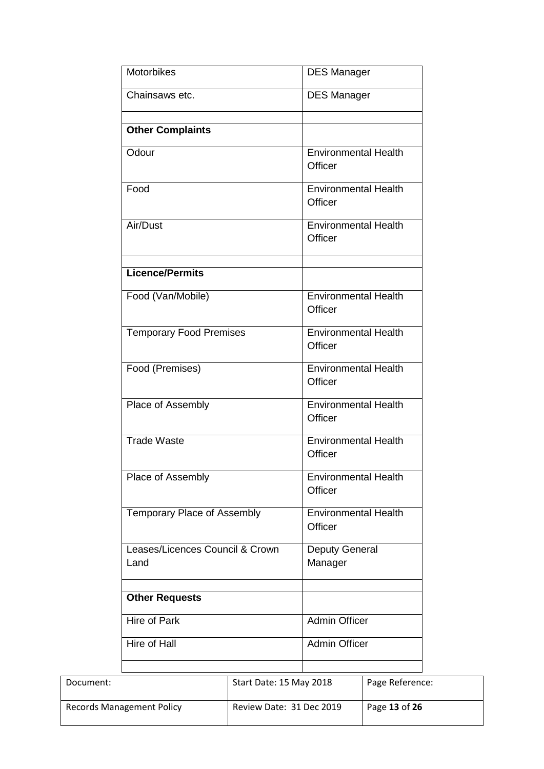|           | <b>Motorbikes</b>                                                                                                                                                               |                          | <b>DES Manager</b>                                                                                                                                                                                |                 |
|-----------|---------------------------------------------------------------------------------------------------------------------------------------------------------------------------------|--------------------------|---------------------------------------------------------------------------------------------------------------------------------------------------------------------------------------------------|-----------------|
|           | Chainsaws etc.                                                                                                                                                                  |                          | <b>DES Manager</b>                                                                                                                                                                                |                 |
|           | <b>Other Complaints</b>                                                                                                                                                         |                          |                                                                                                                                                                                                   |                 |
|           | Odour                                                                                                                                                                           |                          | <b>Environmental Health</b><br>Officer                                                                                                                                                            |                 |
|           | Food                                                                                                                                                                            |                          | <b>Environmental Health</b><br>Officer                                                                                                                                                            |                 |
|           | Air/Dust                                                                                                                                                                        |                          | <b>Environmental Health</b><br>Officer                                                                                                                                                            |                 |
|           | <b>Licence/Permits</b>                                                                                                                                                          |                          |                                                                                                                                                                                                   |                 |
|           | Food (Van/Mobile)                                                                                                                                                               |                          | <b>Environmental Health</b><br>Officer                                                                                                                                                            |                 |
|           | <b>Temporary Food Premises</b>                                                                                                                                                  |                          | <b>Environmental Health</b><br>Officer                                                                                                                                                            |                 |
|           | Food (Premises)                                                                                                                                                                 |                          | <b>Environmental Health</b><br>Officer                                                                                                                                                            |                 |
|           | Place of Assembly<br><b>Trade Waste</b><br>Place of Assembly<br>Temporary Place of Assembly<br>Leases/Licences Council & Crown<br>Land<br><b>Other Requests</b><br>Hire of Park |                          | <b>Environmental Health</b><br>Officer<br><b>Environmental Health</b><br>Officer<br><b>Environmental Health</b><br>Officer<br><b>Environmental Health</b><br>Officer<br>Deputy General<br>Manager |                 |
|           |                                                                                                                                                                                 |                          |                                                                                                                                                                                                   |                 |
|           |                                                                                                                                                                                 |                          |                                                                                                                                                                                                   |                 |
|           |                                                                                                                                                                                 |                          |                                                                                                                                                                                                   |                 |
|           |                                                                                                                                                                                 |                          |                                                                                                                                                                                                   |                 |
|           |                                                                                                                                                                                 |                          |                                                                                                                                                                                                   |                 |
|           |                                                                                                                                                                                 |                          | <b>Admin Officer</b>                                                                                                                                                                              |                 |
|           | Hire of Hall                                                                                                                                                                    |                          | <b>Admin Officer</b>                                                                                                                                                                              |                 |
| Document: |                                                                                                                                                                                 | Start Date: 15 May 2018  |                                                                                                                                                                                                   | Page Reference: |
|           | <b>Records Management Policy</b>                                                                                                                                                | Review Date: 31 Dec 2019 |                                                                                                                                                                                                   | Page 13 of 26   |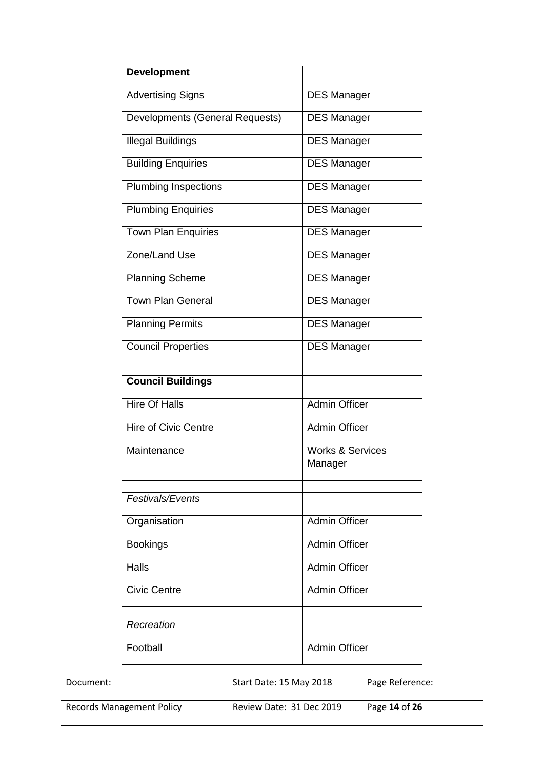| <b>Development</b>              |                             |
|---------------------------------|-----------------------------|
| <b>Advertising Signs</b>        | <b>DES Manager</b>          |
| Developments (General Requests) | <b>DES Manager</b>          |
| <b>Illegal Buildings</b>        | <b>DES Manager</b>          |
| <b>Building Enquiries</b>       | <b>DES Manager</b>          |
| <b>Plumbing Inspections</b>     | <b>DES Manager</b>          |
| <b>Plumbing Enquiries</b>       | <b>DES Manager</b>          |
| <b>Town Plan Enquiries</b>      | <b>DES Manager</b>          |
| Zone/Land Use                   | <b>DES Manager</b>          |
| <b>Planning Scheme</b>          | <b>DES Manager</b>          |
| <b>Town Plan General</b>        | <b>DES Manager</b>          |
| <b>Planning Permits</b>         | <b>DES Manager</b>          |
| <b>Council Properties</b>       | <b>DES Manager</b>          |
|                                 |                             |
| <b>Council Buildings</b>        |                             |
| <b>Hire Of Halls</b>            | <b>Admin Officer</b>        |
| Hire of Civic Centre            | <b>Admin Officer</b>        |
| Maintenance                     | <b>Works &amp; Services</b> |
|                                 | Manager                     |
|                                 |                             |
| Festivals/Events                |                             |
| Organisation                    | Admin Officer               |
| <b>Bookings</b>                 | <b>Admin Officer</b>        |
| Halls                           | <b>Admin Officer</b>        |
| <b>Civic Centre</b>             | <b>Admin Officer</b>        |
| Recreation                      |                             |
|                                 |                             |
| Football                        | <b>Admin Officer</b>        |

| Document:                        | Start Date: 15 May 2018  | Page Reference: |
|----------------------------------|--------------------------|-----------------|
| <b>Records Management Policy</b> | Review Date: 31 Dec 2019 | Page 14 of 26   |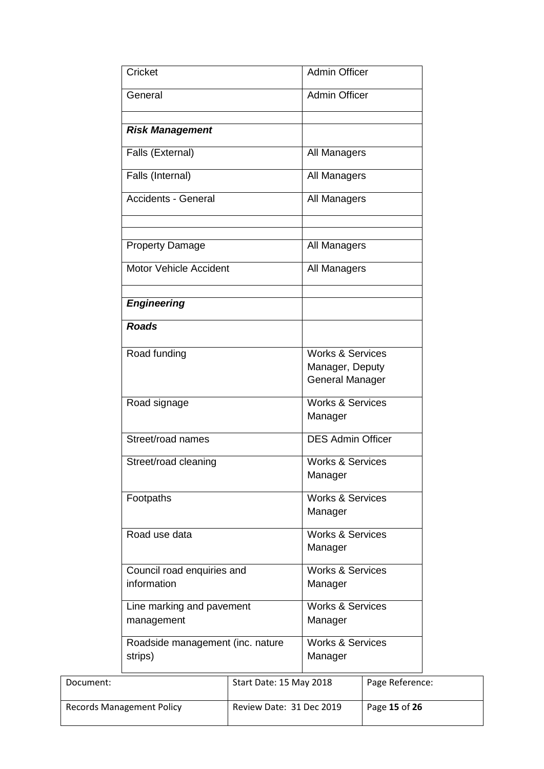|                                  | Cricket                                     |                                        | <b>Admin Officer</b>                                                     |                 |
|----------------------------------|---------------------------------------------|----------------------------------------|--------------------------------------------------------------------------|-----------------|
| General                          |                                             |                                        | <b>Admin Officer</b>                                                     |                 |
|                                  | <b>Risk Management</b>                      |                                        |                                                                          |                 |
|                                  | Falls (External)                            |                                        | All Managers                                                             |                 |
|                                  | Falls (Internal)                            |                                        | All Managers                                                             |                 |
|                                  | Accidents - General                         |                                        | All Managers                                                             |                 |
|                                  | <b>Property Damage</b>                      |                                        | All Managers                                                             |                 |
|                                  | Motor Vehicle Accident                      |                                        | All Managers                                                             |                 |
|                                  | <b>Engineering</b>                          |                                        |                                                                          |                 |
|                                  | <b>Roads</b>                                |                                        |                                                                          |                 |
|                                  | Road funding                                |                                        | <b>Works &amp; Services</b><br>Manager, Deputy<br><b>General Manager</b> |                 |
|                                  | Road signage                                |                                        | <b>Works &amp; Services</b><br>Manager                                   |                 |
|                                  | Street/road names                           |                                        | <b>DES Admin Officer</b>                                                 |                 |
|                                  | Street/road cleaning                        |                                        | <b>Works &amp; Services</b><br>Manager                                   |                 |
|                                  | Footpaths                                   | <b>Works &amp; Services</b><br>Manager |                                                                          |                 |
|                                  | Road use data                               |                                        | <b>Works &amp; Services</b><br>Manager                                   |                 |
|                                  | Council road enquiries and<br>information   |                                        | <b>Works &amp; Services</b><br>Manager                                   |                 |
|                                  | Line marking and pavement<br>management     |                                        | <b>Works &amp; Services</b><br>Manager                                   |                 |
|                                  | Roadside management (inc. nature<br>strips) |                                        | <b>Works &amp; Services</b><br>Manager                                   |                 |
| Document:                        |                                             | Start Date: 15 May 2018                |                                                                          | Page Reference: |
| <b>Records Management Policy</b> |                                             | Review Date: 31 Dec 2019               |                                                                          | Page 15 of 26   |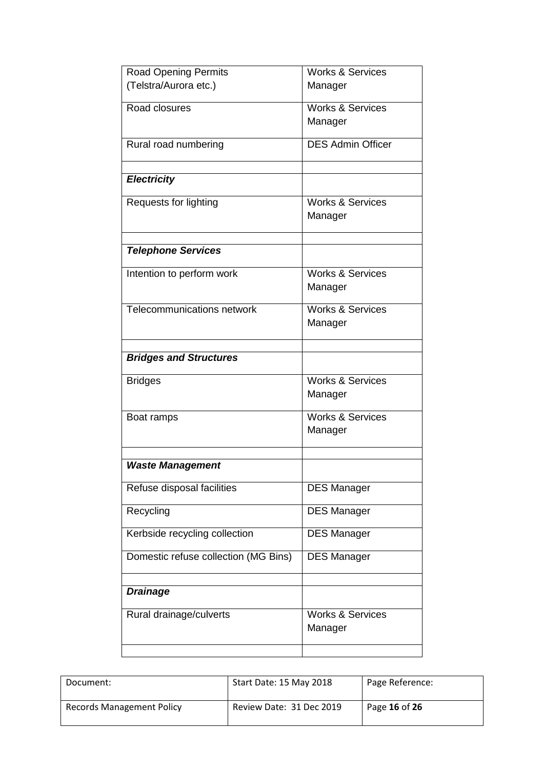| <b>Road Opening Permits</b>          | <b>Works &amp; Services</b>            |
|--------------------------------------|----------------------------------------|
| (Telstra/Aurora etc.)                | Manager                                |
| Road closures                        | <b>Works &amp; Services</b>            |
|                                      | Manager                                |
| Rural road numbering                 | <b>DES Admin Officer</b>               |
| <b>Electricity</b>                   |                                        |
| Requests for lighting                | <b>Works &amp; Services</b>            |
|                                      | Manager                                |
|                                      |                                        |
| <b>Telephone Services</b>            |                                        |
| Intention to perform work            | <b>Works &amp; Services</b>            |
|                                      | Manager                                |
| <b>Telecommunications network</b>    | <b>Works &amp; Services</b>            |
|                                      | Manager                                |
|                                      |                                        |
| <b>Bridges and Structures</b>        |                                        |
| <b>Bridges</b>                       | <b>Works &amp; Services</b>            |
|                                      | Manager                                |
| Boat ramps                           | <b>Works &amp; Services</b>            |
|                                      | Manager                                |
|                                      |                                        |
| <b>Waste Management</b>              |                                        |
| Refuse disposal facilities           | <b>DES Manager</b>                     |
| Recycling                            | <b>DES Manager</b>                     |
| Kerbside recycling collection        | <b>DES Manager</b>                     |
| Domestic refuse collection (MG Bins) | <b>DES Manager</b>                     |
|                                      |                                        |
| <b>Drainage</b>                      |                                        |
| Rural drainage/culverts              | <b>Works &amp; Services</b><br>Manager |
|                                      |                                        |

| Document:                        | Start Date: 15 May 2018  | Page Reference: |
|----------------------------------|--------------------------|-----------------|
| <b>Records Management Policy</b> | Review Date: 31 Dec 2019 | Page 16 of 26   |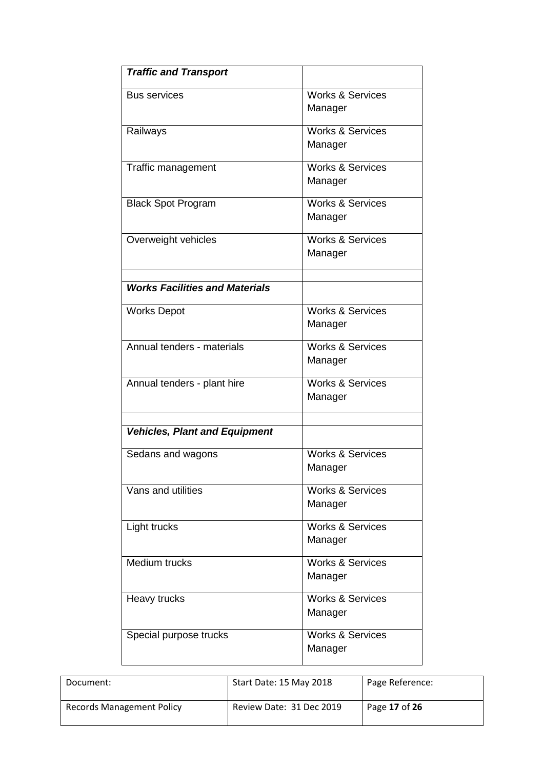| <b>Traffic and Transport</b>          |                                        |
|---------------------------------------|----------------------------------------|
| <b>Bus services</b>                   | <b>Works &amp; Services</b><br>Manager |
| Railways                              | <b>Works &amp; Services</b><br>Manager |
| Traffic management                    | Works & Services<br>Manager            |
| <b>Black Spot Program</b>             | <b>Works &amp; Services</b><br>Manager |
| Overweight vehicles                   | <b>Works &amp; Services</b><br>Manager |
| <b>Works Facilities and Materials</b> |                                        |
| <b>Works Depot</b>                    | <b>Works &amp; Services</b><br>Manager |
| Annual tenders - materials            | <b>Works &amp; Services</b><br>Manager |
| Annual tenders - plant hire           | <b>Works &amp; Services</b><br>Manager |
| <b>Vehicles, Plant and Equipment</b>  |                                        |
| Sedans and wagons                     | Works & Services<br>Manager            |
| Vans and utilities                    | <b>Works &amp; Services</b><br>Manager |
| Light trucks                          | <b>Works &amp; Services</b><br>Manager |
| Medium trucks                         | <b>Works &amp; Services</b><br>Manager |
| Heavy trucks                          | <b>Works &amp; Services</b><br>Manager |
| Special purpose trucks                | <b>Works &amp; Services</b><br>Manager |

| Document:                        | Start Date: 15 May 2018  | Page Reference: |
|----------------------------------|--------------------------|-----------------|
| <b>Records Management Policy</b> | Review Date: 31 Dec 2019 | Page 17 of 26   |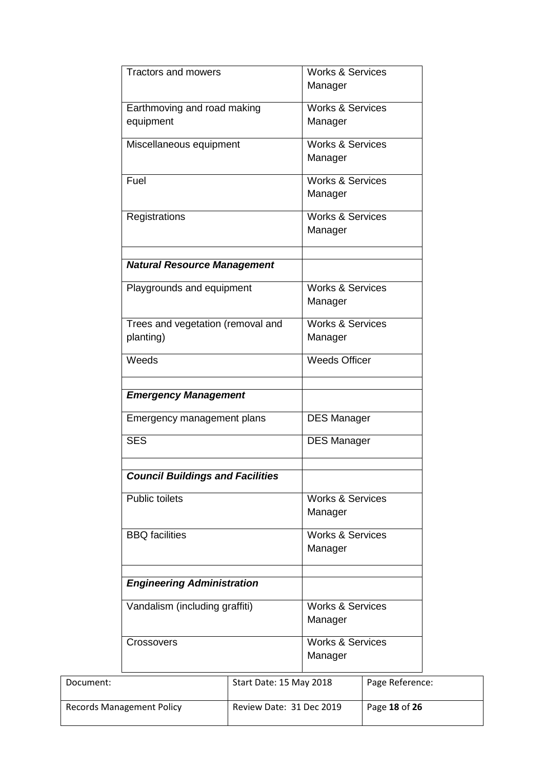|                                          | <b>Tractors and mowers</b>                                                                   |                          | <b>Works &amp; Services</b>            |                 |
|------------------------------------------|----------------------------------------------------------------------------------------------|--------------------------|----------------------------------------|-----------------|
|                                          |                                                                                              |                          | Manager                                |                 |
| Earthmoving and road making<br>equipment |                                                                                              |                          | <b>Works &amp; Services</b><br>Manager |                 |
|                                          | Miscellaneous equipment                                                                      |                          | <b>Works &amp; Services</b><br>Manager |                 |
|                                          | Fuel                                                                                         |                          | <b>Works &amp; Services</b><br>Manager |                 |
|                                          | Registrations                                                                                |                          | <b>Works &amp; Services</b><br>Manager |                 |
|                                          | <b>Natural Resource Management</b>                                                           |                          |                                        |                 |
|                                          | Playgrounds and equipment                                                                    |                          | <b>Works &amp; Services</b><br>Manager |                 |
|                                          | Trees and vegetation (removal and<br>planting)                                               |                          | <b>Works &amp; Services</b><br>Manager |                 |
|                                          | Weeds                                                                                        |                          | <b>Weeds Officer</b>                   |                 |
|                                          | <b>Emergency Management</b>                                                                  |                          |                                        |                 |
|                                          | Emergency management plans                                                                   |                          | <b>DES Manager</b>                     |                 |
|                                          | <b>SES</b>                                                                                   |                          | <b>DES Manager</b>                     |                 |
|                                          | <b>Council Buildings and Facilities</b>                                                      |                          |                                        |                 |
|                                          | <b>Public toilets</b>                                                                        |                          | <b>Works &amp; Services</b><br>Manager |                 |
|                                          | <b>BBQ</b> facilities<br><b>Engineering Administration</b><br>Vandalism (including graffiti) |                          | <b>Works &amp; Services</b><br>Manager |                 |
|                                          |                                                                                              |                          |                                        |                 |
|                                          |                                                                                              |                          | <b>Works &amp; Services</b><br>Manager |                 |
|                                          | <b>Crossovers</b>                                                                            |                          | <b>Works &amp; Services</b><br>Manager |                 |
| Document:                                |                                                                                              | Start Date: 15 May 2018  |                                        | Page Reference: |
| <b>Records Management Policy</b>         |                                                                                              | Review Date: 31 Dec 2019 |                                        | Page 18 of 26   |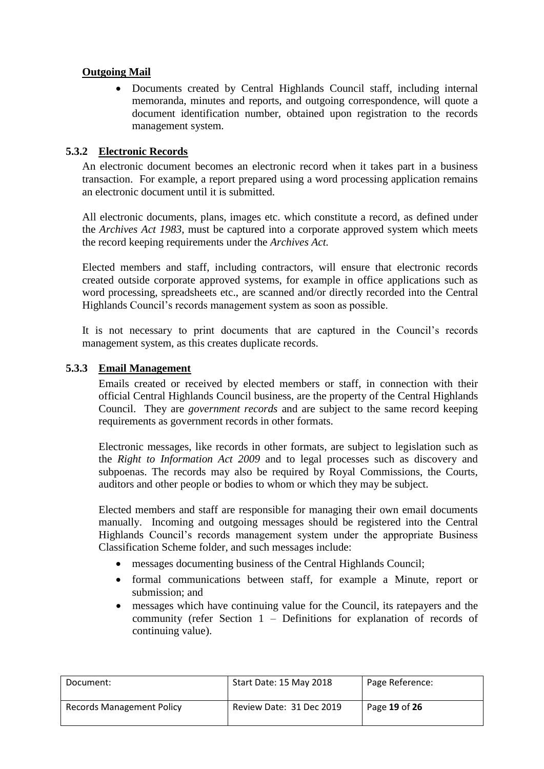# **Outgoing Mail**

 Documents created by Central Highlands Council staff, including internal memoranda, minutes and reports, and outgoing correspondence, will quote a document identification number, obtained upon registration to the records management system.

# <span id="page-18-0"></span>**5.3.2 Electronic Records**

An electronic document becomes an electronic record when it takes part in a business transaction. For example, a report prepared using a word processing application remains an electronic document until it is submitted.

All electronic documents, plans, images etc. which constitute a record, as defined under the *Archives Act 1983*, must be captured into a corporate approved system which meets the record keeping requirements under the *Archives Act.*

Elected members and staff, including contractors, will ensure that electronic records created outside corporate approved systems, for example in office applications such as word processing, spreadsheets etc., are scanned and/or directly recorded into the Central Highlands Council's records management system as soon as possible.

It is not necessary to print documents that are captured in the Council's records management system, as this creates duplicate records.

# <span id="page-18-1"></span>**5.3.3 Email Management**

Emails created or received by elected members or staff, in connection with their official Central Highlands Council business, are the property of the Central Highlands Council. They are *government records* and are subject to the same record keeping requirements as government records in other formats.

Electronic messages, like records in other formats, are subject to legislation such as the *Right to Information Act 2009* and to legal processes such as discovery and subpoenas. The records may also be required by Royal Commissions, the Courts, auditors and other people or bodies to whom or which they may be subject.

Elected members and staff are responsible for managing their own email documents manually. Incoming and outgoing messages should be registered into the Central Highlands Council's records management system under the appropriate Business Classification Scheme folder, and such messages include:

- messages documenting business of the Central Highlands Council;
- formal communications between staff, for example a Minute, report or submission; and
- messages which have continuing value for the Council, its ratepayers and the community (refer Section 1 – Definitions for explanation of records of continuing value).

| Document:                        | Start Date: 15 May 2018  | Page Reference: |
|----------------------------------|--------------------------|-----------------|
| <b>Records Management Policy</b> | Review Date: 31 Dec 2019 | Page 19 of 26   |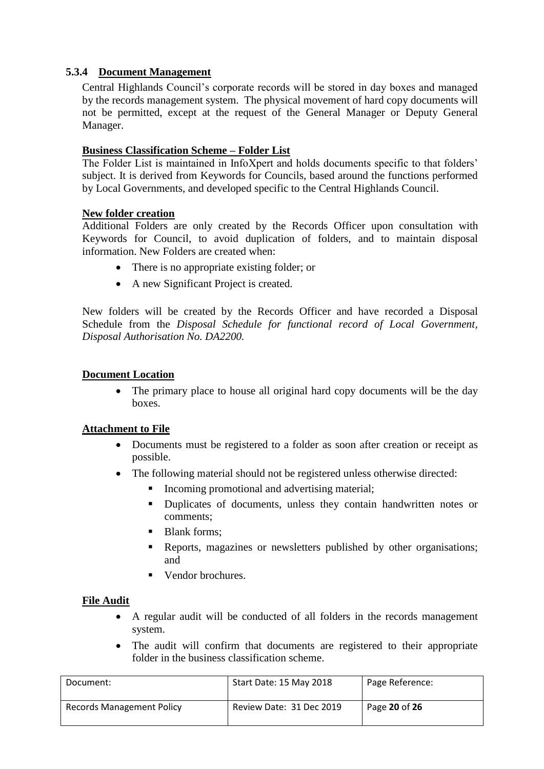# <span id="page-19-0"></span>**5.3.4 Document Management**

Central Highlands Council's corporate records will be stored in day boxes and managed by the records management system. The physical movement of hard copy documents will not be permitted, except at the request of the General Manager or Deputy General Manager.

# **Business Classification Scheme – Folder List**

The Folder List is maintained in InfoXpert and holds documents specific to that folders' subject. It is derived from Keywords for Councils, based around the functions performed by Local Governments, and developed specific to the Central Highlands Council.

# **New folder creation**

Additional Folders are only created by the Records Officer upon consultation with Keywords for Council, to avoid duplication of folders, and to maintain disposal information. New Folders are created when:

- There is no appropriate existing folder; or
- A new Significant Project is created.

New folders will be created by the Records Officer and have recorded a Disposal Schedule from the *Disposal Schedule for functional record of Local Government, Disposal Authorisation No. DA2200.*

# **Document Location**

• The primary place to house all original hard copy documents will be the day boxes.

# **Attachment to File**

- Documents must be registered to a folder as soon after creation or receipt as possible.
- The following material should not be registered unless otherwise directed:
	- Incoming promotional and advertising material;
	- Duplicates of documents, unless they contain handwritten notes or comments;
	- Blank forms;
	- Reports, magazines or newsletters published by other organisations; and
	- Vendor brochures.

# **File Audit**

- A regular audit will be conducted of all folders in the records management system.
- The audit will confirm that documents are registered to their appropriate folder in the business classification scheme.

| Document:                 | Start Date: 15 May 2018  | Page Reference: |
|---------------------------|--------------------------|-----------------|
| Records Management Policy | Review Date: 31 Dec 2019 | Page 20 of 26   |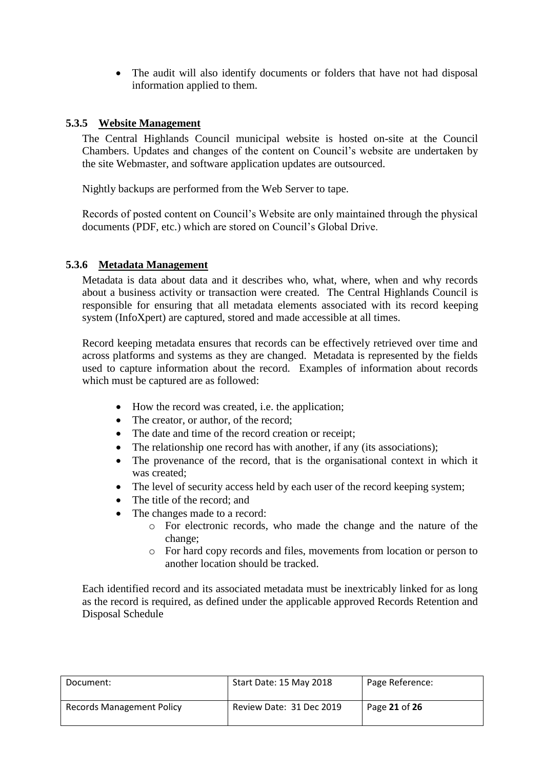• The audit will also identify documents or folders that have not had disposal information applied to them.

#### <span id="page-20-0"></span>**5.3.5 Website Management**

The Central Highlands Council municipal website is hosted on-site at the Council Chambers. Updates and changes of the content on Council's website are undertaken by the site Webmaster, and software application updates are outsourced.

Nightly backups are performed from the Web Server to tape.

Records of posted content on Council's Website are only maintained through the physical documents (PDF, etc.) which are stored on Council's Global Drive.

#### <span id="page-20-1"></span>**5.3.6 Metadata Management**

Metadata is data about data and it describes who, what, where, when and why records about a business activity or transaction were created. The Central Highlands Council is responsible for ensuring that all metadata elements associated with its record keeping system (InfoXpert) are captured, stored and made accessible at all times.

Record keeping metadata ensures that records can be effectively retrieved over time and across platforms and systems as they are changed. Metadata is represented by the fields used to capture information about the record. Examples of information about records which must be captured are as followed:

- How the record was created, i.e. the application;
- The creator, or author, of the record;
- The date and time of the record creation or receipt;
- The relationship one record has with another, if any (its associations);
- The provenance of the record, that is the organisational context in which it was created;
- The level of security access held by each user of the record keeping system;
- The title of the record; and
- The changes made to a record:
	- o For electronic records, who made the change and the nature of the change;
	- o For hard copy records and files, movements from location or person to another location should be tracked.

Each identified record and its associated metadata must be inextricably linked for as long as the record is required, as defined under the applicable approved Records Retention and Disposal Schedule

| Document:                        | Start Date: 15 May 2018  | Page Reference: |
|----------------------------------|--------------------------|-----------------|
| <b>Records Management Policy</b> | Review Date: 31 Dec 2019 | Page 21 of 26   |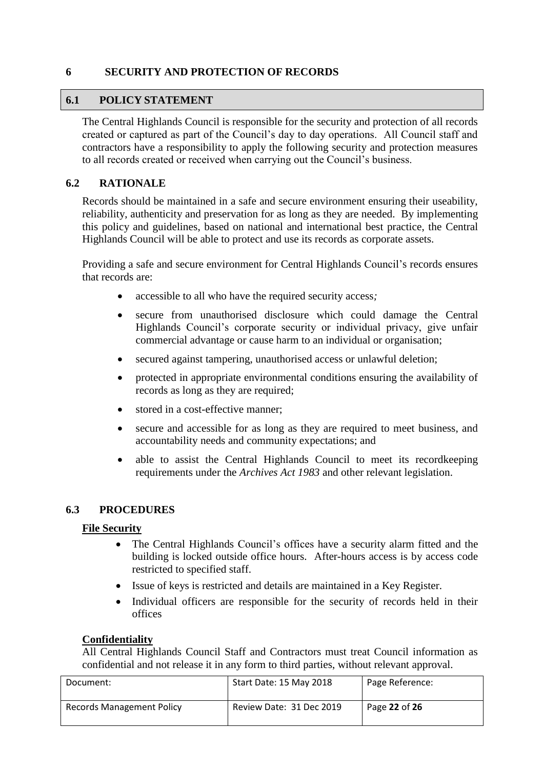# <span id="page-21-0"></span>**6 SECURITY AND PROTECTION OF RECORDS**

# <span id="page-21-1"></span>**6.1 POLICY STATEMENT**

The Central Highlands Council is responsible for the security and protection of all records created or captured as part of the Council's day to day operations. All Council staff and contractors have a responsibility to apply the following security and protection measures to all records created or received when carrying out the Council's business.

# <span id="page-21-2"></span>**6.2 RATIONALE**

Records should be maintained in a safe and secure environment ensuring their useability, reliability, authenticity and preservation for as long as they are needed. By implementing this policy and guidelines, based on national and international best practice, the Central Highlands Council will be able to protect and use its records as corporate assets.

Providing a safe and secure environment for Central Highlands Council's records ensures that records are:

- accessible to all who have the required security access*;*
- secure from unauthorised disclosure which could damage the Central Highlands Council's corporate security or individual privacy, give unfair commercial advantage or cause harm to an individual or organisation;
- secured against tampering, unauthorised access or unlawful deletion;
- protected in appropriate environmental conditions ensuring the availability of records as long as they are required;
- stored in a cost-effective manner;
- secure and accessible for as long as they are required to meet business, and accountability needs and community expectations; and
- able to assist the Central Highlands Council to meet its recordkeeping requirements under the *Archives Act 1983* and other relevant legislation.

# <span id="page-21-3"></span>**6.3 PROCEDURES**

# **File Security**

- The Central Highlands Council's offices have a security alarm fitted and the building is locked outside office hours. After-hours access is by access code restricted to specified staff.
- Issue of keys is restricted and details are maintained in a Key Register.
- Individual officers are responsible for the security of records held in their offices

# **Confidentiality**

All Central Highlands Council Staff and Contractors must treat Council information as confidential and not release it in any form to third parties, without relevant approval.

| Document:                        | Start Date: 15 May 2018  | Page Reference: |
|----------------------------------|--------------------------|-----------------|
| <b>Records Management Policy</b> | Review Date: 31 Dec 2019 | Page 22 of 26   |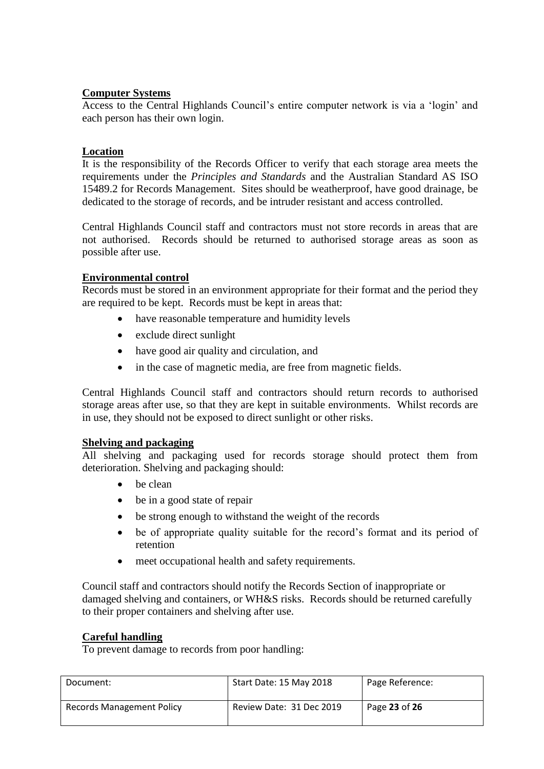# **Computer Systems**

Access to the Central Highlands Council's entire computer network is via a 'login' and each person has their own login.

# **Location**

It is the responsibility of the Records Officer to verify that each storage area meets the requirements under the *Principles and Standards* and the Australian Standard AS ISO 15489.2 for Records Management. Sites should be weatherproof, have good drainage, be dedicated to the storage of records, and be intruder resistant and access controlled.

Central Highlands Council staff and contractors must not store records in areas that are not authorised. Records should be returned to authorised storage areas as soon as possible after use.

#### **Environmental control**

Records must be stored in an environment appropriate for their format and the period they are required to be kept. Records must be kept in areas that:

- have reasonable temperature and humidity levels
- exclude direct sunlight
- have good air quality and circulation, and
- in the case of magnetic media, are free from magnetic fields.

Central Highlands Council staff and contractors should return records to authorised storage areas after use, so that they are kept in suitable environments. Whilst records are in use, they should not be exposed to direct sunlight or other risks.

# **Shelving and packaging**

All shelving and packaging used for records storage should protect them from deterioration. Shelving and packaging should:

- $\bullet$  be clean
- be in a good state of repair
- be strong enough to withstand the weight of the records
- be of appropriate quality suitable for the record's format and its period of retention
- meet occupational health and safety requirements.

Council staff and contractors should notify the Records Section of inappropriate or damaged shelving and containers, or WH&S risks. Records should be returned carefully to their proper containers and shelving after use.

# **Careful handling**

To prevent damage to records from poor handling:

| Document:                        | Start Date: 15 May 2018  | Page Reference: |
|----------------------------------|--------------------------|-----------------|
| <b>Records Management Policy</b> | Review Date: 31 Dec 2019 | Page 23 of 26   |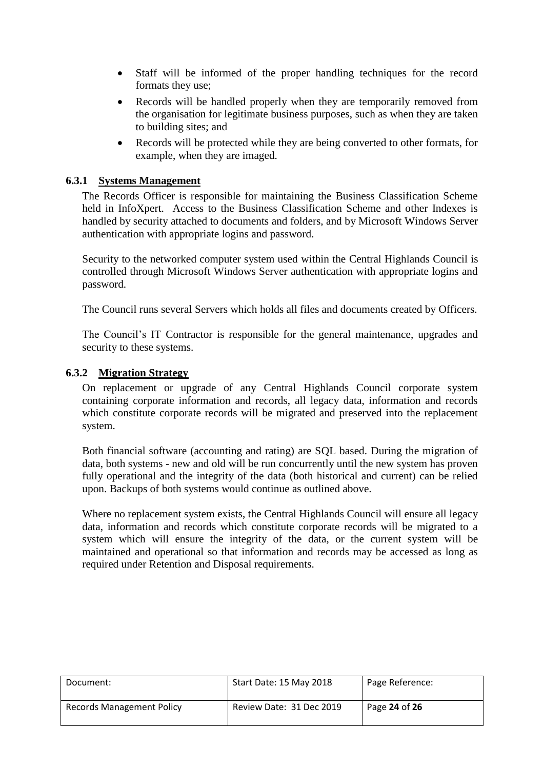- Staff will be informed of the proper handling techniques for the record formats they use;
- Records will be handled properly when they are temporarily removed from the organisation for legitimate business purposes, such as when they are taken to building sites; and
- Records will be protected while they are being converted to other formats, for example, when they are imaged.

#### <span id="page-23-0"></span>**6.3.1 Systems Management**

The Records Officer is responsible for maintaining the Business Classification Scheme held in InfoXpert. Access to the Business Classification Scheme and other Indexes is handled by security attached to documents and folders, and by Microsoft Windows Server authentication with appropriate logins and password.

Security to the networked computer system used within the Central Highlands Council is controlled through Microsoft Windows Server authentication with appropriate logins and password.

The Council runs several Servers which holds all files and documents created by Officers.

The Council's IT Contractor is responsible for the general maintenance, upgrades and security to these systems.

#### <span id="page-23-1"></span>**6.3.2 Migration Strategy**

On replacement or upgrade of any Central Highlands Council corporate system containing corporate information and records, all legacy data, information and records which constitute corporate records will be migrated and preserved into the replacement system.

Both financial software (accounting and rating) are SQL based. During the migration of data, both systems - new and old will be run concurrently until the new system has proven fully operational and the integrity of the data (both historical and current) can be relied upon. Backups of both systems would continue as outlined above.

Where no replacement system exists, the Central Highlands Council will ensure all legacy data, information and records which constitute corporate records will be migrated to a system which will ensure the integrity of the data, or the current system will be maintained and operational so that information and records may be accessed as long as required under Retention and Disposal requirements.

| Document:                 | Start Date: 15 May 2018  | Page Reference: |
|---------------------------|--------------------------|-----------------|
| Records Management Policy | Review Date: 31 Dec 2019 | Page 24 of 26   |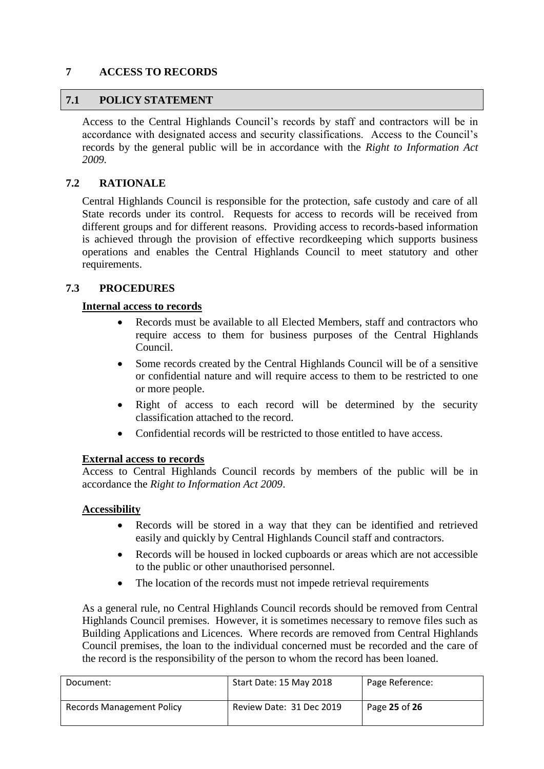# <span id="page-24-0"></span>**7 ACCESS TO RECORDS**

# <span id="page-24-1"></span>**7.1 POLICY STATEMENT**

Access to the Central Highlands Council's records by staff and contractors will be in accordance with designated access and security classifications. Access to the Council's records by the general public will be in accordance with the *Right to Information Act 2009.*

# <span id="page-24-2"></span>**7.2 RATIONALE**

Central Highlands Council is responsible for the protection, safe custody and care of all State records under its control. Requests for access to records will be received from different groups and for different reasons. Providing access to records-based information is achieved through the provision of effective recordkeeping which supports business operations and enables the Central Highlands Council to meet statutory and other requirements.

#### <span id="page-24-3"></span>**7.3 PROCEDURES**

#### **Internal access to records**

- Records must be available to all Elected Members, staff and contractors who require access to them for business purposes of the Central Highlands Council.
- Some records created by the Central Highlands Council will be of a sensitive or confidential nature and will require access to them to be restricted to one or more people.
- Right of access to each record will be determined by the security classification attached to the record.
- Confidential records will be restricted to those entitled to have access.

#### **External access to records**

Access to Central Highlands Council records by members of the public will be in accordance the *Right to Information Act 2009*.

#### **Accessibility**

- Records will be stored in a way that they can be identified and retrieved easily and quickly by Central Highlands Council staff and contractors.
- Records will be housed in locked cupboards or areas which are not accessible to the public or other unauthorised personnel.
- The location of the records must not impede retrieval requirements

As a general rule, no Central Highlands Council records should be removed from Central Highlands Council premises. However, it is sometimes necessary to remove files such as Building Applications and Licences. Where records are removed from Central Highlands Council premises, the loan to the individual concerned must be recorded and the care of the record is the responsibility of the person to whom the record has been loaned.

| Document:                 | Start Date: 15 May 2018  | Page Reference: |
|---------------------------|--------------------------|-----------------|
| Records Management Policy | Review Date: 31 Dec 2019 | Page 25 of 26   |